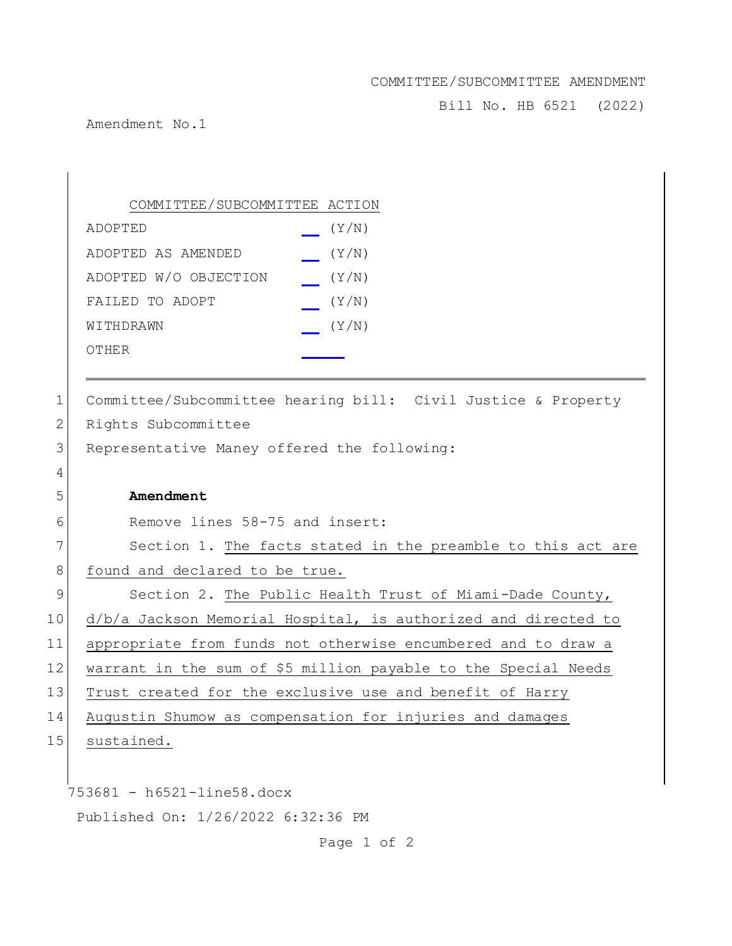## COMMITTEE/SUBCOMMITTEE AMENDMENT

Bill No. HB 6521 (2022)

Amendment No.1

 $\overline{\phantom{a}}$ 

|             | COMMITTEE/SUBCOMMITTEE ACTION                                  |
|-------------|----------------------------------------------------------------|
|             | (Y/N)<br>ADOPTED                                               |
|             | (Y/N)<br>ADOPTED AS AMENDED                                    |
|             | ADOPTED W/O OBJECTION<br>(Y/N)                                 |
|             | FAILED TO ADOPT<br>(Y/N)                                       |
|             | (Y/N)<br>WITHDRAWN                                             |
|             | OTHER                                                          |
|             |                                                                |
| 1           | Committee/Subcommittee hearing bill: Civil Justice & Property  |
| 2           | Rights Subcommittee                                            |
| 3           | Representative Maney offered the following:                    |
| 4           |                                                                |
| 5           | Amendment                                                      |
| 6           | Remove lines 58-75 and insert:                                 |
| 7           | Section 1. The facts stated in the preamble to this act are    |
| 8           | found and declared to be true.                                 |
| $\mathsf 9$ | Section 2. The Public Health Trust of Miami-Dade County,       |
| 10          | d/b/a Jackson Memorial Hospital, is authorized and directed to |
| 11          | appropriate from funds not otherwise encumbered and to draw a  |
| 12          | warrant in the sum of \$5 million payable to the Special Needs |
| 13          | Trust created for the exclusive use and benefit of Harry       |
| 14          | Augustin Shumow as compensation for injuries and damages       |
| 15          | sustained.                                                     |
|             |                                                                |
|             | 753681 - h6521-line58.docx                                     |
|             | Published On: 1/26/2022 6:32:36 PM                             |

Page 1 of 2